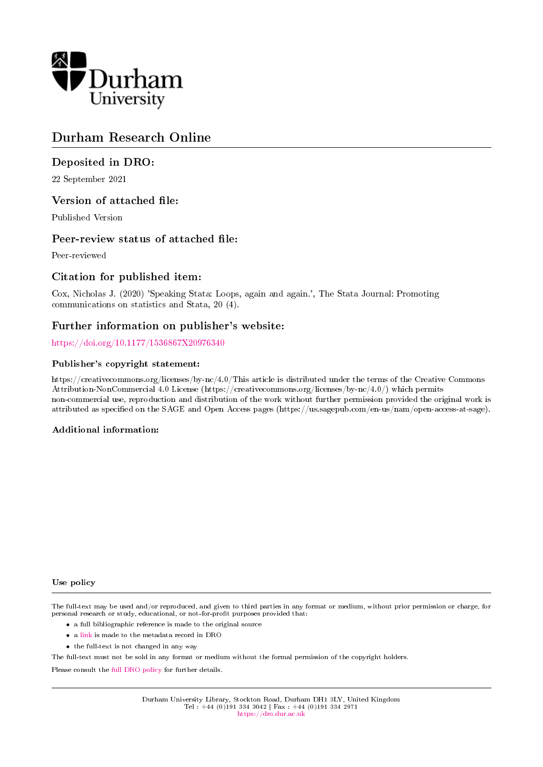

# Durham Research Online

### Deposited in DRO:

22 September 2021

### Version of attached file:

Published Version

### Peer-review status of attached file:

Peer-reviewed

### Citation for published item:

Cox, Nicholas J. (2020) 'Speaking Stata: Loops, again and again.', The Stata Journal: Promoting communications on statistics and Stata, 20 (4).

### Further information on publisher's website:

<https://doi.org/10.1177/1536867X20976340>

#### Publisher's copyright statement:

https://creativecommons.org/licenses/by-nc/4.0/This article is distributed under the terms of the Creative Commons Attribution-NonCommercial 4.0 License (https://creativecommons.org/licenses/by-nc/4.0/) which permits non-commercial use, reproduction and distribution of the work without further permission provided the original work is attributed as specified on the SAGE and Open Access pages (https://us.sagepub.com/en-us/nam/open-access-at-sage).

#### Additional information:

#### Use policy

The full-text may be used and/or reproduced, and given to third parties in any format or medium, without prior permission or charge, for personal research or study, educational, or not-for-profit purposes provided that:

- a full bibliographic reference is made to the original source
- a [link](http://dro.dur.ac.uk/33952/) is made to the metadata record in DRO
- the full-text is not changed in any way

The full-text must not be sold in any format or medium without the formal permission of the copyright holders.

Please consult the [full DRO policy](https://dro.dur.ac.uk/policies/usepolicy.pdf) for further details.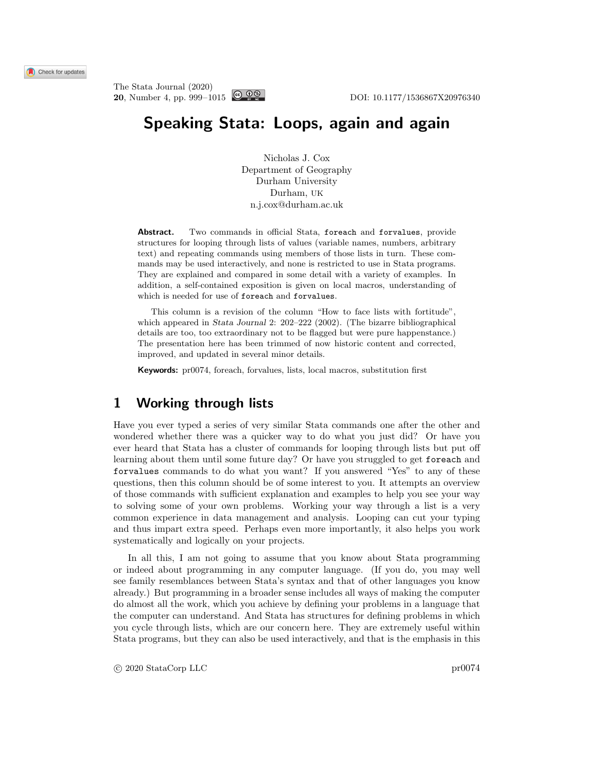# Speaking Stata: Loops, again and again

Nicholas J. Cox Department of Geography Durham University Durham, UK n.j.cox@durham.ac.uk

Abstract. Two commands in official Stata, foreach and forvalues, provide structures for looping through lists of values (variable names, numbers, arbitrary text) and repeating commands using members of those lists in turn. These commands may be used interactively, and none is restricted to use in Stata programs. They are explained and compared in some detail with a variety of examples. In addition, a self-contained exposition is given on local macros, understanding of which is needed for use of foreach and forvalues.

This column is a revision of the column "How to face lists with fortitude", which appeared in Stata Journal 2: 202–222 (2002). (The bizarre bibliographical details are too, too extraordinary not to be flagged but were pure happenstance.) The presentation here has been trimmed of now historic content and corrected, improved, and updated in several minor details.

Keywords: pr0074, foreach, forvalues, lists, local macros, substitution first

## 1 Working through lists

Have you ever typed a series of very similar Stata commands one after the other and wondered whether there was a quicker way to do what you just did? Or have you ever heard that Stata has a cluster of commands for looping through lists but put off learning about them until some future day? Or have you struggled to get foreach and forvalues commands to do what you want? If you answered "Yes" to any of these questions, then this column should be of some interest to you. It attempts an overview of those commands with sufficient explanation and examples to help you see your way to solving some of your own problems. Working your way through a list is a very common experience in data management and analysis. Looping can cut your typing and thus impart extra speed. Perhaps even more importantly, it also helps you work systematically and logically on your projects.

In all this, I am not going to assume that you know about Stata programming or indeed about programming in any computer language. (If you do, you may well see family resemblances between Stata's syntax and that of other languages you know already.) But programming in a broader sense includes all ways of making the computer do almost all the work, which you achieve by defining your problems in a language that the computer can understand. And Stata has structures for defining problems in which you cycle through lists, which are our concern here. They are extremely useful within Stata programs, but they can also be used interactively, and that is the emphasis in this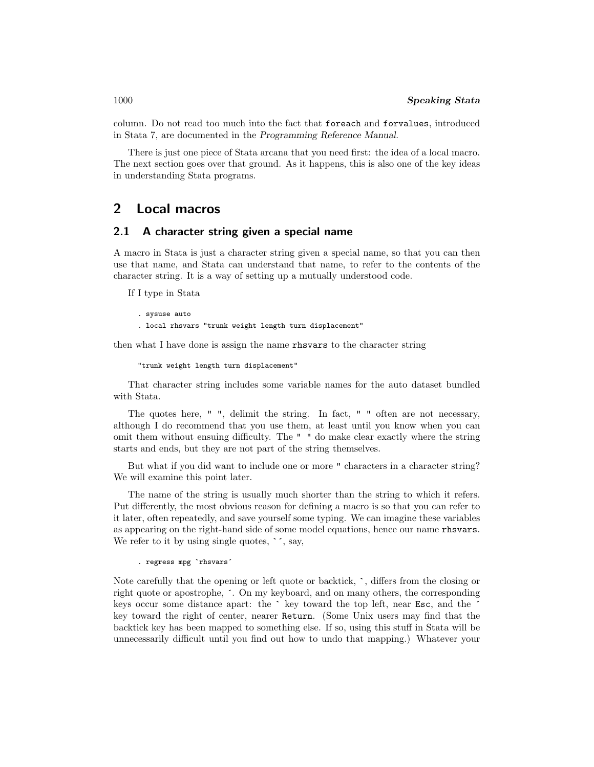column. Do not read too much into the fact that foreach and forvalues, introduced in Stata 7, are documented in the Programming Reference Manual.

There is just one piece of Stata arcana that you need first: the idea of a local macro. The next section goes over that ground. As it happens, this is also one of the key ideas in understanding Stata programs.

## 2 Local macros

### 2.1 A character string given a special name

A macro in Stata is just a character string given a special name, so that you can then use that name, and Stata can understand that name, to refer to the contents of the character string. It is a way of setting up a mutually understood code.

If I type in Stata

```
. sysuse auto
. local rhsvars "trunk weight length turn displacement"
```
then what I have done is assign the name rhsvars to the character string

"trunk weight length turn displacement"

That character string includes some variable names for the auto dataset bundled with Stata.

The quotes here, " ", delimit the string. In fact, " " often are not necessary, although I do recommend that you use them, at least until you know when you can omit them without ensuing difficulty. The " " do make clear exactly where the string starts and ends, but they are not part of the string themselves.

But what if you did want to include one or more " characters in a character string? We will examine this point later.

The name of the string is usually much shorter than the string to which it refers. Put differently, the most obvious reason for defining a macro is so that you can refer to it later, often repeatedly, and save yourself some typing. We can imagine these variables as appearing on the right-hand side of some model equations, hence our name rhsvars. We refer to it by using single quotes,  $\cdot$ , say,

. regress mpg `rhsvars´

Note carefully that the opening or left quote or backtick,  $\cdot$ , differs from the closing or right quote or apostrophe, ´. On my keyboard, and on many others, the corresponding keys occur some distance apart: the ` key toward the top left, near Esc, and the ´ key toward the right of center, nearer Return. (Some Unix users may find that the backtick key has been mapped to something else. If so, using this stuff in Stata will be unnecessarily difficult until you find out how to undo that mapping.) Whatever your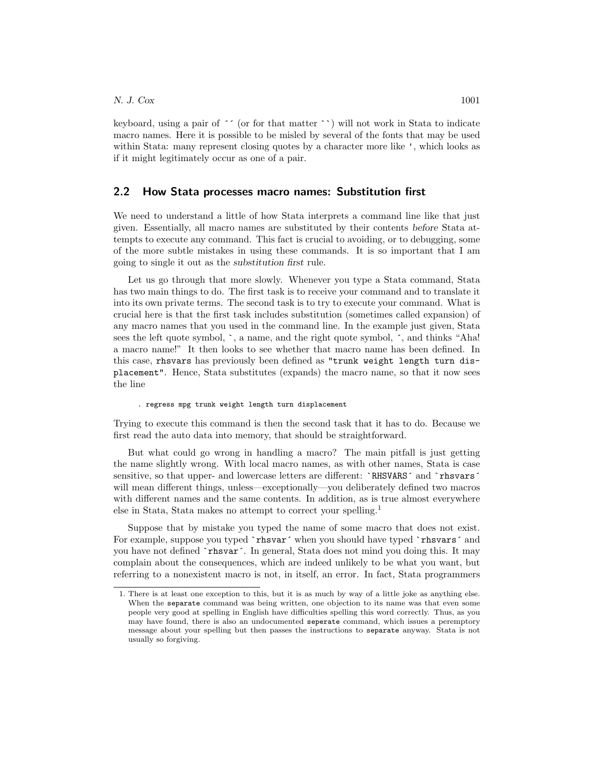keyboard, using a pair of  $\check{\phantom{a}}$  (or for that matter  $\check{\phantom{a}}$ ) will not work in Stata to indicate macro names. Here it is possible to be misled by several of the fonts that may be used within Stata: many represent closing quotes by a character more like ', which looks as if it might legitimately occur as one of a pair.

### 2.2 How Stata processes macro names: Substitution first

We need to understand a little of how Stata interprets a command line like that just given. Essentially, all macro names are substituted by their contents before Stata attempts to execute any command. This fact is crucial to avoiding, or to debugging, some of the more subtle mistakes in using these commands. It is so important that I am going to single it out as the substitution first rule.

Let us go through that more slowly. Whenever you type a Stata command, Stata has two main things to do. The first task is to receive your command and to translate it into its own private terms. The second task is to try to execute your command. What is crucial here is that the first task includes substitution (sometimes called expansion) of any macro names that you used in the command line. In the example just given, Stata sees the left quote symbol, `, a name, and the right quote symbol, ´, and thinks "Aha! a macro name!" It then looks to see whether that macro name has been defined. In this case, rhsvars has previously been defined as "trunk weight length turn displacement". Hence, Stata substitutes (expands) the macro name, so that it now sees the line

#### . regress mpg trunk weight length turn displacement

Trying to execute this command is then the second task that it has to do. Because we first read the auto data into memory, that should be straightforward.

But what could go wrong in handling a macro? The main pitfall is just getting the name slightly wrong. With local macro names, as with other names, Stata is case sensitive, so that upper- and lowercase letters are different: `RHSVARS´ and `rhsvars´ will mean different things, unless—exceptionally—you deliberately defined two macros with different names and the same contents. In addition, as is true almost everywhere else in Stata, Stata makes no attempt to correct your spelling.[1](#page-3-0)

Suppose that by mistake you typed the name of some macro that does not exist. For example, suppose you typed `rhsvar´ when you should have typed `rhsvars´ and you have not defined `rhsvar´. In general, Stata does not mind you doing this. It may complain about the consequences, which are indeed unlikely to be what you want, but referring to a nonexistent macro is not, in itself, an error. In fact, Stata programmers

<span id="page-3-0"></span><sup>1.</sup> There is at least one exception to this, but it is as much by way of a little joke as anything else. When the separate command was being written, one objection to its name was that even some people very good at spelling in English have difficulties spelling this word correctly. Thus, as you may have found, there is also an undocumented seperate command, which issues a peremptory message about your spelling but then passes the instructions to separate anyway. Stata is not usually so forgiving.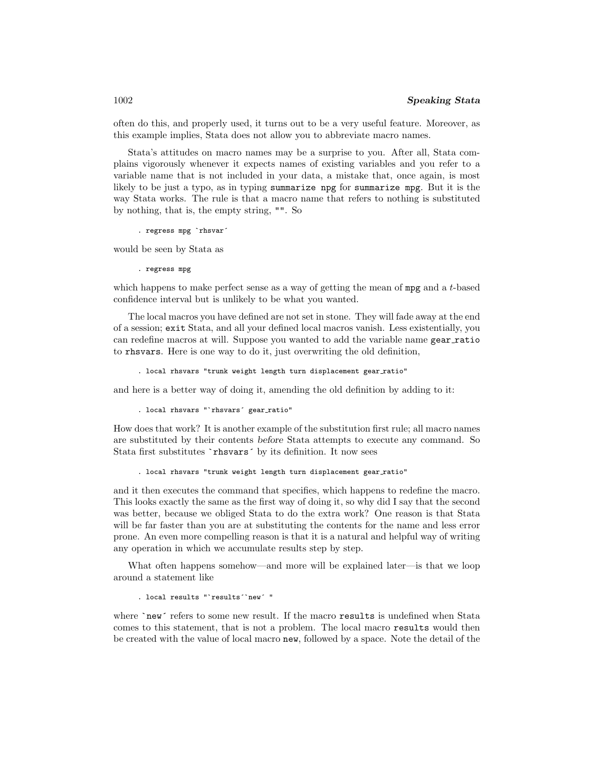often do this, and properly used, it turns out to be a very useful feature. Moreover, as this example implies, Stata does not allow you to abbreviate macro names.

Stata's attitudes on macro names may be a surprise to you. After all, Stata complains vigorously whenever it expects names of existing variables and you refer to a variable name that is not included in your data, a mistake that, once again, is most likely to be just a typo, as in typing summarize npg for summarize mpg. But it is the way Stata works. The rule is that a macro name that refers to nothing is substituted by nothing, that is, the empty string, "". So

. regress mpg `rhsvar´

would be seen by Stata as

. regress mpg

which happens to make perfect sense as a way of getting the mean of mpg and a t-based confidence interval but is unlikely to be what you wanted.

The local macros you have defined are not set in stone. They will fade away at the end of a session; exit Stata, and all your defined local macros vanish. Less existentially, you can redefine macros at will. Suppose you wanted to add the variable name gear ratio to rhsvars. Here is one way to do it, just overwriting the old definition,

. local rhsvars "trunk weight length turn displacement gear\_ratio"

and here is a better way of doing it, amending the old definition by adding to it:

. local rhsvars "`rhsvars´ gear ratio"

How does that work? It is another example of the substitution first rule; all macro names are substituted by their contents before Stata attempts to execute any command. So Stata first substitutes `rhsvars´ by its definition. It now sees

. local rhsvars "trunk weight length turn displacement gear ratio"

and it then executes the command that specifies, which happens to redefine the macro. This looks exactly the same as the first way of doing it, so why did I say that the second was better, because we obliged Stata to do the extra work? One reason is that Stata will be far faster than you are at substituting the contents for the name and less error prone. An even more compelling reason is that it is a natural and helpful way of writing any operation in which we accumulate results step by step.

What often happens somehow—and more will be explained later—is that we loop around a statement like

. local results "`results´`new´ "

where 'new' refers to some new result. If the macro results is undefined when Stata comes to this statement, that is not a problem. The local macro results would then be created with the value of local macro new, followed by a space. Note the detail of the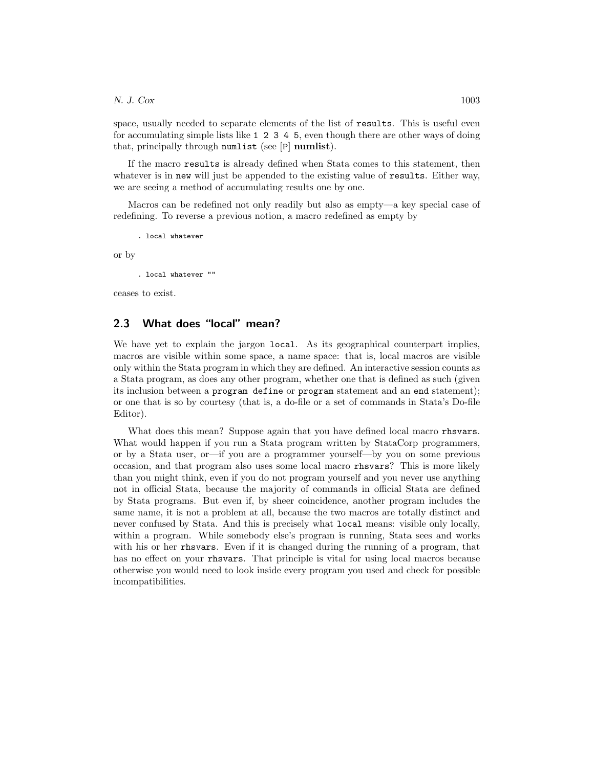space, usually needed to separate elements of the list of results. This is useful even for accumulating simple lists like 1 2 3 4 5, even though there are other ways of doing that, principally through numlist (see  $[P]$  numlist).

If the macro results is already defined when Stata comes to this statement, then whatever is in new will just be appended to the existing value of results. Either way, we are seeing a method of accumulating results one by one.

Macros can be redefined not only readily but also as empty—a key special case of redefining. To reverse a previous notion, a macro redefined as empty by

```
. local whatever
```
or by

```
. local whatever ""
```
ceases to exist.

### 2.3 What does "local" mean?

We have yet to explain the jargon local. As its geographical counterpart implies, macros are visible within some space, a name space: that is, local macros are visible only within the Stata program in which they are defined. An interactive session counts as a Stata program, as does any other program, whether one that is defined as such (given its inclusion between a program define or program statement and an end statement); or one that is so by courtesy (that is, a do-file or a set of commands in Stata's Do-file Editor).

What does this mean? Suppose again that you have defined local macro rhsvars. What would happen if you run a Stata program written by StataCorp programmers, or by a Stata user, or—if you are a programmer yourself—by you on some previous occasion, and that program also uses some local macro rhsvars? This is more likely than you might think, even if you do not program yourself and you never use anything not in official Stata, because the majority of commands in official Stata are defined by Stata programs. But even if, by sheer coincidence, another program includes the same name, it is not a problem at all, because the two macros are totally distinct and never confused by Stata. And this is precisely what local means: visible only locally, within a program. While somebody else's program is running, Stata sees and works with his or her rhsvars. Even if it is changed during the running of a program, that has no effect on your rhsvars. That principle is vital for using local macros because otherwise you would need to look inside every program you used and check for possible incompatibilities.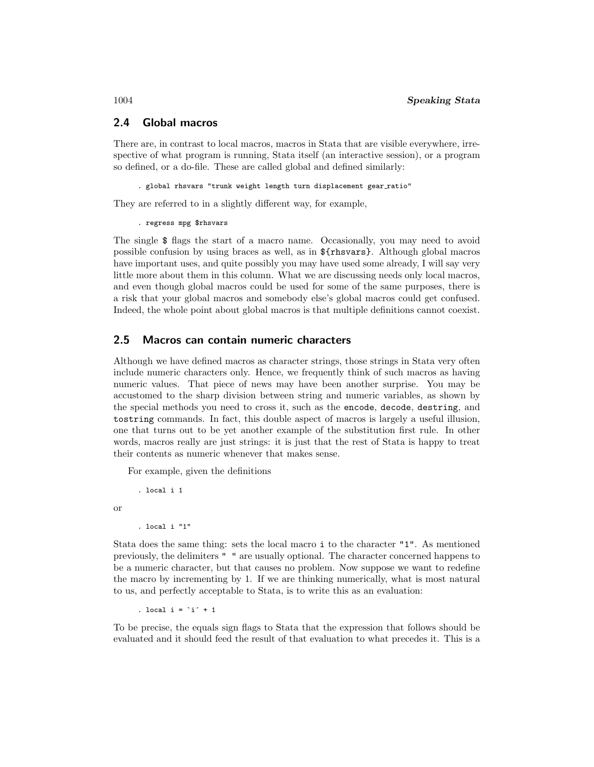### 2.4 Global macros

There are, in contrast to local macros, macros in Stata that are visible everywhere, irrespective of what program is running, Stata itself (an interactive session), or a program so defined, or a do-file. These are called global and defined similarly:

. global rhsvars "trunk weight length turn displacement gear ratio"

They are referred to in a slightly different way, for example,

. regress mpg \$rhsvars

The single \$ flags the start of a macro name. Occasionally, you may need to avoid possible confusion by using braces as well, as in \${rhsvars}. Although global macros have important uses, and quite possibly you may have used some already, I will say very little more about them in this column. What we are discussing needs only local macros, and even though global macros could be used for some of the same purposes, there is a risk that your global macros and somebody else's global macros could get confused. Indeed, the whole point about global macros is that multiple definitions cannot coexist.

#### 2.5 Macros can contain numeric characters

Although we have defined macros as character strings, those strings in Stata very often include numeric characters only. Hence, we frequently think of such macros as having numeric values. That piece of news may have been another surprise. You may be accustomed to the sharp division between string and numeric variables, as shown by the special methods you need to cross it, such as the encode, decode, destring, and tostring commands. In fact, this double aspect of macros is largely a useful illusion, one that turns out to be yet another example of the substitution first rule. In other words, macros really are just strings: it is just that the rest of Stata is happy to treat their contents as numeric whenever that makes sense.

For example, given the definitions

. local i 1

or

. local i "1"

Stata does the same thing: sets the local macro i to the character "1". As mentioned previously, the delimiters " " are usually optional. The character concerned happens to be a numeric character, but that causes no problem. Now suppose we want to redefine the macro by incrementing by 1. If we are thinking numerically, what is most natural to us, and perfectly acceptable to Stata, is to write this as an evaluation:

. local  $i = \text{i}' + 1$ 

To be precise, the equals sign flags to Stata that the expression that follows should be evaluated and it should feed the result of that evaluation to what precedes it. This is a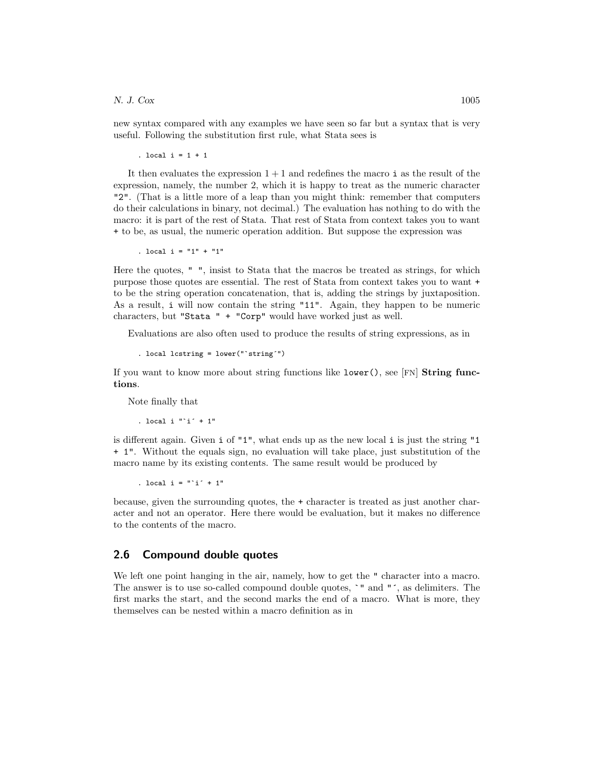new syntax compared with any examples we have seen so far but a syntax that is very useful. Following the substitution first rule, what Stata sees is

```
. local i = 1 + 1
```
It then evaluates the expression  $1 + 1$  and redefines the macro i as the result of the expression, namely, the number 2, which it is happy to treat as the numeric character "2". (That is a little more of a leap than you might think: remember that computers do their calculations in binary, not decimal.) The evaluation has nothing to do with the macro: it is part of the rest of Stata. That rest of Stata from context takes you to want + to be, as usual, the numeric operation addition. But suppose the expression was

```
. local i = "1" + "1"
```
Here the quotes, " ", insist to Stata that the macros be treated as strings, for which purpose those quotes are essential. The rest of Stata from context takes you to want + to be the string operation concatenation, that is, adding the strings by juxtaposition. As a result, i will now contain the string "11". Again, they happen to be numeric characters, but "Stata " + "Corp" would have worked just as well.

Evaluations are also often used to produce the results of string expressions, as in

```
. local lcstring = lower("`string´")
```
If you want to know more about string functions like lower(), see [FN] String functions.

Note finally that

```
. local i "`i´ + 1"
```
is different again. Given i of "1", what ends up as the new local i is just the string "1 + 1". Without the equals sign, no evaluation will take place, just substitution of the macro name by its existing contents. The same result would be produced by

```
. local i = "i' + 1"
```
because, given the surrounding quotes, the + character is treated as just another character and not an operator. Here there would be evaluation, but it makes no difference to the contents of the macro.

### 2.6 Compound double quotes

We left one point hanging in the air, namely, how to get the " character into a macro. The answer is to use so-called compound double quotes, `" and "´, as delimiters. The first marks the start, and the second marks the end of a macro. What is more, they themselves can be nested within a macro definition as in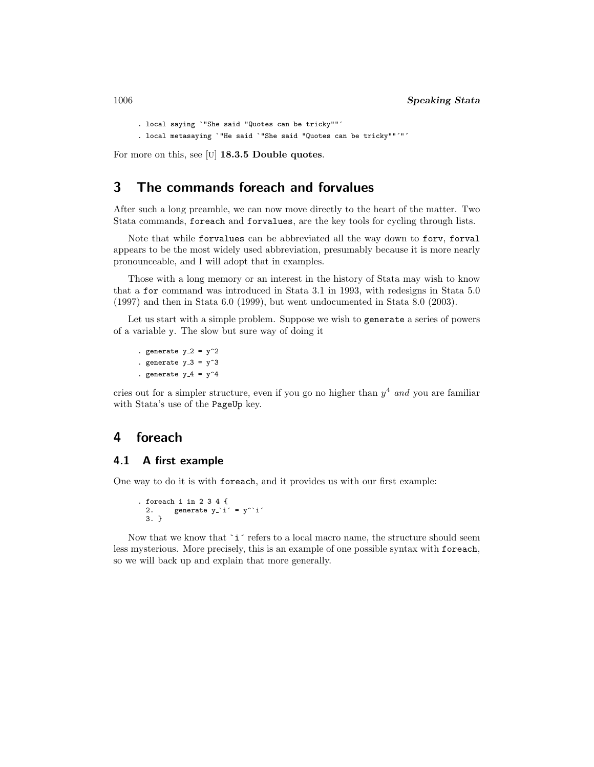```
. local saying `"She said "Quotes can be tricky""´
. local metasaying `"He said `"She said "Quotes can be tricky""´"´
```
For more on this, see [U] **18.3.5 Double quotes**.

### 3 The commands foreach and forvalues

After such a long preamble, we can now move directly to the heart of the matter. Two Stata commands, foreach and forvalues, are the key tools for cycling through lists.

Note that while forvalues can be abbreviated all the way down to forv, forval appears to be the most widely used abbreviation, presumably because it is more nearly pronounceable, and I will adopt that in examples.

Those with a long memory or an interest in the history of Stata may wish to know that a for command was introduced in Stata 3.1 in 1993, with redesigns in Stata 5.0 (1997) and then in Stata 6.0 (1999), but went undocumented in Stata 8.0 (2003).

Let us start with a simple problem. Suppose we wish to generate a series of powers of a variable y. The slow but sure way of doing it

```
. generate y_2 = y^2. generate y_3 = y^3. generate y_4 = y^4
```
cries out for a simpler structure, even if you go no higher than  $y^4$  and you are familiar with Stata's use of the PageUp key.

### 4 foreach

#### 4.1 A first example

One way to do it is with foreach, and it provides us with our first example:

```
. foreach i in 2 3 4 {
 2. generate y_i i = y^i3. }
```
Now that we know that  $\cdot i$  refers to a local macro name, the structure should seem less mysterious. More precisely, this is an example of one possible syntax with foreach, so we will back up and explain that more generally.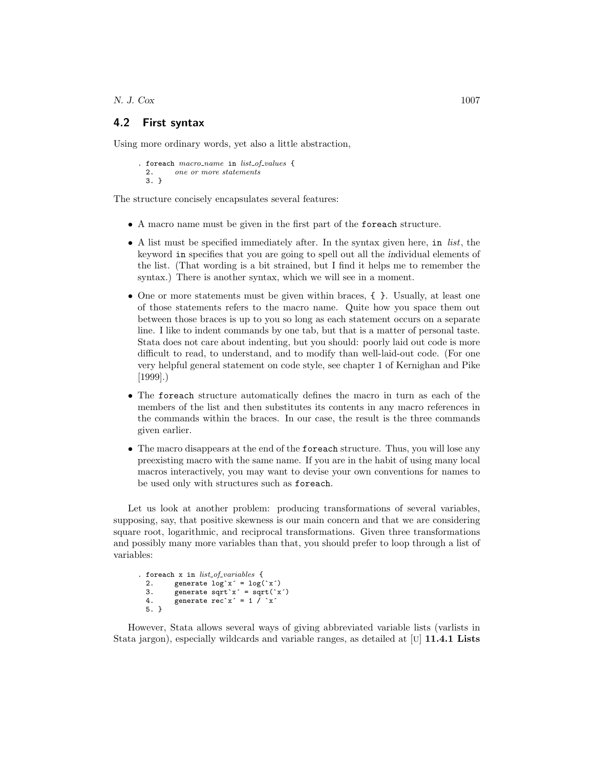### 4.2 First syntax

Using more ordinary words, yet also a little abstraction,

```
. foreach macro_name in list_of_values {
 2. one or more statements
 3. }
```
The structure concisely encapsulates several features:

- A macro name must be given in the first part of the foreach structure.
- A list must be specified immediately after. In the syntax given here, in *list*, the keyword in specifies that you are going to spell out all the individual elements of the list. (That wording is a bit strained, but I find it helps me to remember the syntax.) There is another syntax, which we will see in a moment.
- One or more statements must be given within braces,  $\{ \}$ . Usually, at least one of those statements refers to the macro name. Quite how you space them out between those braces is up to you so long as each statement occurs on a separate line. I like to indent commands by one tab, but that is a matter of personal taste. Stata does not care about indenting, but you should: poorly laid out code is more difficult to read, to understand, and to modify than well-laid-out code. (For one very helpful general statement on code style, see chapter 1 of [Kernighan and Pike](#page-17-0) [\[1999\]](#page-17-0).)
- The foreach structure automatically defines the macro in turn as each of the members of the list and then substitutes its contents in any macro references in the commands within the braces. In our case, the result is the three commands given earlier.
- The macro disappears at the end of the foreach structure. Thus, you will lose any preexisting macro with the same name. If you are in the habit of using many local macros interactively, you may want to devise your own conventions for names to be used only with structures such as foreach.

Let us look at another problem: producing transformations of several variables, supposing, say, that positive skewness is our main concern and that we are considering square root, logarithmic, and reciprocal transformations. Given three transformations and possibly many more variables than that, you should prefer to loop through a list of variables:

```
. foreach x in list_of_variables {
  2. generate \log^x z = \log(x^2)<br>3. generate sqrt`x´ = sqrt(`x
          generate sqrt`x´ = sqrt(`x´)
  4. generate rec^x = 1 / x^x5. }
```
However, Stata allows several ways of giving abbreviated variable lists (varlists in Stata jargon), especially wildcards and variable ranges, as detailed at [U]  $11.4.1$  Lists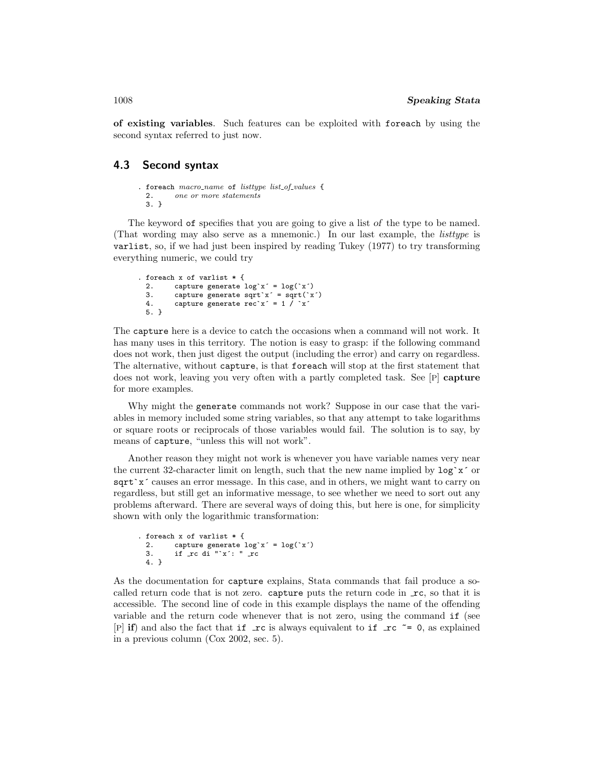of existing variables. Such features can be exploited with foreach by using the second syntax referred to just now.

### 4.3 Second syntax

```
. foreach macro_name of listtype list_of_values {
 2. one or more statements
 3. }
```
The keyword of specifies that you are going to give a list of the type to be named. (That wording may also serve as a mnemonic.) In our last example, the listtype is varlist, so, if we had just been inspired by reading [Tukey](#page-17-1) [\(1977\)](#page-17-1) to try transforming everything numeric, we could try

```
. foreach x of varlist * {
 2. capture generate \log^x x = \log(x^*)3. capture generate sqrt`x´ = sqrt(`x´)
 4. capture generate rec`x´ = 1 / x^25. }
```
The capture here is a device to catch the occasions when a command will not work. It has many uses in this territory. The notion is easy to grasp: if the following command does not work, then just digest the output (including the error) and carry on regardless. The alternative, without capture, is that foreach will stop at the first statement that does not work, leaving you very often with a partly completed task. See [P] capture for more examples.

Why might the generate commands not work? Suppose in our case that the variables in memory included some string variables, so that any attempt to take logarithms or square roots or reciprocals of those variables would fail. The solution is to say, by means of capture, "unless this will not work".

Another reason they might not work is whenever you have variable names very near the current 32-character limit on length, such that the new name implied by  $\log^{\mathbf{x}} x$  or sqrt`x´ causes an error message. In this case, and in others, we might want to carry on regardless, but still get an informative message, to see whether we need to sort out any problems afterward. There are several ways of doing this, but here is one, for simplicity shown with only the logarithmic transformation:

```
. foreach x of varlist * {
 2. capture generate \log^x x = \log(x^*)3. if rc di "`x´: " rc
 4. }
```
As the documentation for capture explains, Stata commands that fail produce a socalled return code that is not zero. capture puts the return code in  $\text{rc}$ , so that it is accessible. The second line of code in this example displays the name of the offending variable and the return code whenever that is not zero, using the command if (see [P] if) and also the fact that if  $\text{rc}$  is always equivalent to if  $\text{rc}$  = 0, as explained in a previous column [\(Cox 2002,](#page-17-2) sec. 5).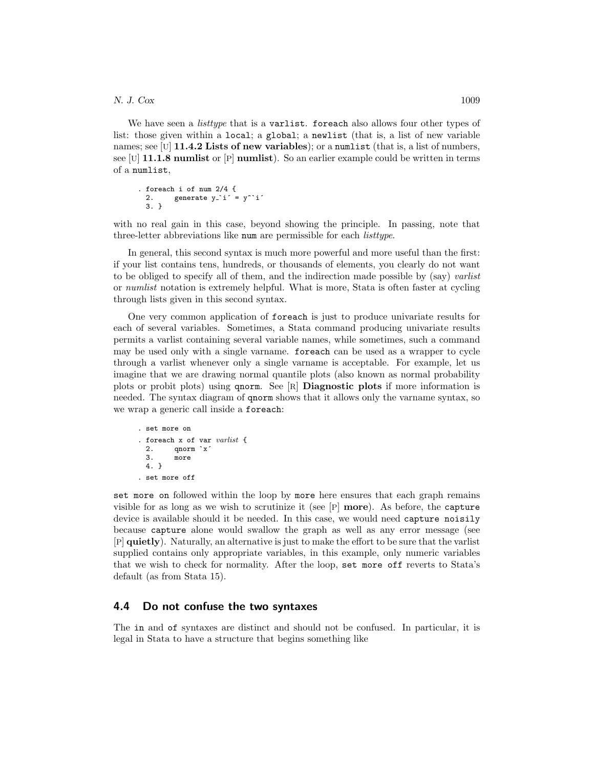We have seen a *listtype* that is a varlist. for each also allows four other types of list: those given within a local; a global; a newlist (that is, a list of new variable names; see [U] 11.4.2 Lists of new variables); or a numbired (that is, a list of numbers, see [U] 11.1.8 numlist or [P] numlist). So an earlier example could be written in terms of a numlist,

```
. foreach i of num 2/4 {
  2. generate y_i<sup>\cdot</sup> i' = y^{\prime\prime}i'3. }
```
with no real gain in this case, beyond showing the principle. In passing, note that three-letter abbreviations like num are permissible for each *listtype*.

In general, this second syntax is much more powerful and more useful than the first: if your list contains tens, hundreds, or thousands of elements, you clearly do not want to be obliged to specify all of them, and the indirection made possible by (say) varies or numlist notation is extremely helpful. What is more, Stata is often faster at cycling through lists given in this second syntax.

One very common application of foreach is just to produce univariate results for each of several variables. Sometimes, a Stata command producing univariate results permits a varlist containing several variable names, while sometimes, such a command may be used only with a single varname. foreach can be used as a wrapper to cycle through a varlist whenever only a single varname is acceptable. For example, let us imagine that we are drawing normal quantile plots (also known as normal probability plots or probit plots) using qnorm. See [R] Diagnostic plots if more information is needed. The syntax diagram of qnorm shows that it allows only the varname syntax, so we wrap a generic call inside a foreach:

```
. set more on
. foreach x of var varlist {
 2. qnorm `x´
 3. more
 4. }
. set more off
```
set more on followed within the loop by more here ensures that each graph remains visible for as long as we wish to scrutinize it (see  $[P]$  more). As before, the capture device is available should it be needed. In this case, we would need capture noisily because capture alone would swallow the graph as well as any error message (see [P] quietly). Naturally, an alternative is just to make the effort to be sure that the varlist supplied contains only appropriate variables, in this example, only numeric variables that we wish to check for normality. After the loop, set more off reverts to Stata's default (as from Stata 15).

#### 4.4 Do not confuse the two syntaxes

The in and of syntaxes are distinct and should not be confused. In particular, it is legal in Stata to have a structure that begins something like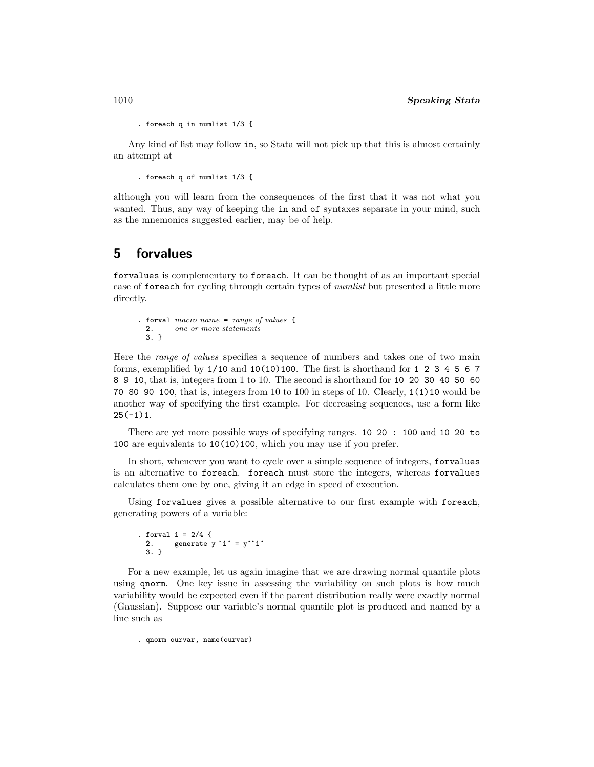. foreach q in numlist 1/3 {

Any kind of list may follow in, so Stata will not pick up that this is almost certainly an attempt at

. foreach q of numlist 1/3 {

although you will learn from the consequences of the first that it was not what you wanted. Thus, any way of keeping the in and of syntaxes separate in your mind, such as the mnemonics suggested earlier, may be of help.

# 5 forvalues

forvalues is complementary to foreach. It can be thought of as an important special case of foreach for cycling through certain types of *numlist* but presented a little more directly.

```
. forval macro_name = range_of_values {
 2. one or more statements
 3. }
```
Here the range of values specifies a sequence of numbers and takes one of two main forms, exemplified by  $1/10$  and  $10(10)100$ . The first is shorthand for 1 2 3 4 5 6 7 8 9 10, that is, integers from 1 to 10. The second is shorthand for 10 20 30 40 50 60 70 80 90 100, that is, integers from 10 to 100 in steps of 10. Clearly, 1(1)10 would be another way of specifying the first example. For decreasing sequences, use a form like  $25(-1)1$ .

There are yet more possible ways of specifying ranges. 10 20 : 100 and 10 20 to 100 are equivalents to 10(10)100, which you may use if you prefer.

In short, whenever you want to cycle over a simple sequence of integers, forvalues is an alternative to foreach. foreach must store the integers, whereas forvalues calculates them one by one, giving it an edge in speed of execution.

Using forvalues gives a possible alternative to our first example with foreach, generating powers of a variable:

```
. forval i = 2/4 {
                   generate y_i<sup>*</sup>i<sup>\cdot</sup> = y<sup>*</sup>i<sup>\cdot</sup>
   2.<br>3. }
```
For a new example, let us again imagine that we are drawing normal quantile plots using qnorm. One key issue in assessing the variability on such plots is how much variability would be expected even if the parent distribution really were exactly normal (Gaussian). Suppose our variable's normal quantile plot is produced and named by a line such as

. qnorm ourvar, name(ourvar)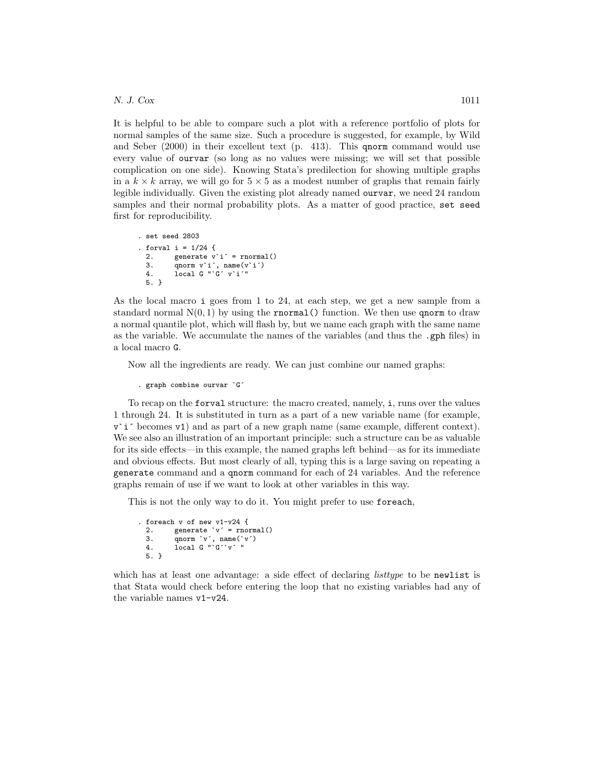It is helpful to be able to compare such a plot with a reference portfolio of plots for normal samples of the same size. Such a procedure is suggested, for example, by [Wild](#page-17-3) [and Seber](#page-17-3) [\(2000\)](#page-17-3) in their excellent text (p. 413). This qnorm command would use every value of ourvar (so long as no values were missing; we will set that possible complication on one side). Knowing Stata's predilection for showing multiple graphs in a  $k \times k$  array, we will go for  $5 \times 5$  as a modest number of graphs that remain fairly legible individually. Given the existing plot already named ourvar, we need 24 random samples and their normal probability plots. As a matter of good practice, set seed first for reproducibility.

```
. set seed 2803
. forval i = 1/24 {
  2. generate v^i = rnormal()<br>3. anorm v^i ange(v^i)
  3. qnorm v^i; name(v^i)<br>4. local G''^G' v^i'4. local G "`G´ v`i´"
  5. }
```
As the local macro i goes from 1 to 24, at each step, we get a new sample from a standard normal  $N(0, 1)$  by using the **rnormal** () function. We then use **qnorm** to draw a normal quantile plot, which will flash by, but we name each graph with the same name as the variable. We accumulate the names of the variables (and thus the .gph files) in a local macro G.

Now all the ingredients are ready. We can just combine our named graphs:

```
. graph combine ourvar `G´
```
To recap on the forval structure: the macro created, namely, i, runs over the values 1 through 24. It is substituted in turn as a part of a new variable name (for example,  $v$ <sup> $\circ$ </sup> i<sup> $\circ$ </sup> becomes v1) and as part of a new graph name (same example, different context). We see also an illustration of an important principle: such a structure can be as valuable for its side effects—in this example, the named graphs left behind—as for its immediate and obvious effects. But most clearly of all, typing this is a large saving on repeating a generate command and a qnorm command for each of 24 variables. And the reference graphs remain of use if we want to look at other variables in this way.

This is not the only way to do it. You might prefer to use foreach,

```
. foreach v of new v1-v24 {
 2. generate \check{v} = rnormal()
  3. qnorm `v´, name(`v´)
  4. local G "`G´`v´ "
 5. }
```
which has at least one advantage: a side effect of declaring *listtype* to be newlist is that Stata would check before entering the loop that no existing variables had any of the variable names v1-v24.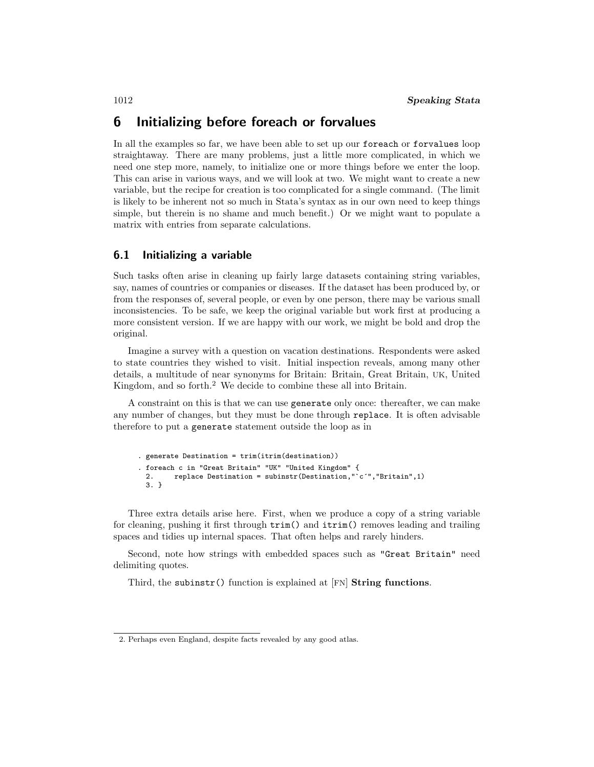## 6 Initializing before foreach or forvalues

In all the examples so far, we have been able to set up our foreach or forvalues loop straightaway. There are many problems, just a little more complicated, in which we need one step more, namely, to initialize one or more things before we enter the loop. This can arise in various ways, and we will look at two. We might want to create a new variable, but the recipe for creation is too complicated for a single command. (The limit is likely to be inherent not so much in Stata's syntax as in our own need to keep things simple, but therein is no shame and much benefit.) Or we might want to populate a matrix with entries from separate calculations.

### 6.1 Initializing a variable

Such tasks often arise in cleaning up fairly large datasets containing string variables, say, names of countries or companies or diseases. If the dataset has been produced by, or from the responses of, several people, or even by one person, there may be various small inconsistencies. To be safe, we keep the original variable but work first at producing a more consistent version. If we are happy with our work, we might be bold and drop the original.

Imagine a survey with a question on vacation destinations. Respondents were asked to state countries they wished to visit. Initial inspection reveals, among many other details, a multitude of near synonyms for Britain: Britain, Great Britain, UK, United Kingdom, and so forth.[2](#page-14-0) We decide to combine these all into Britain.

A constraint on this is that we can use generate only once: thereafter, we can make any number of changes, but they must be done through replace. It is often advisable therefore to put a generate statement outside the loop as in

```
. generate Destination = trim(itrim(destination))
. foreach c in "Great Britain" "UK" "United Kingdom" {
 2. replace Destination = subinstr(Destination,"`c´","Britain",1)
 3. }
```
Three extra details arise here. First, when we produce a copy of a string variable for cleaning, pushing it first through trim() and itrim() removes leading and trailing spaces and tidies up internal spaces. That often helps and rarely hinders.

Second, note how strings with embedded spaces such as "Great Britain" need delimiting quotes.

Third, the subinstr() function is explained at  $|FN|$  String functions.

<span id="page-14-0"></span><sup>2.</sup> Perhaps even England, despite facts revealed by any good atlas.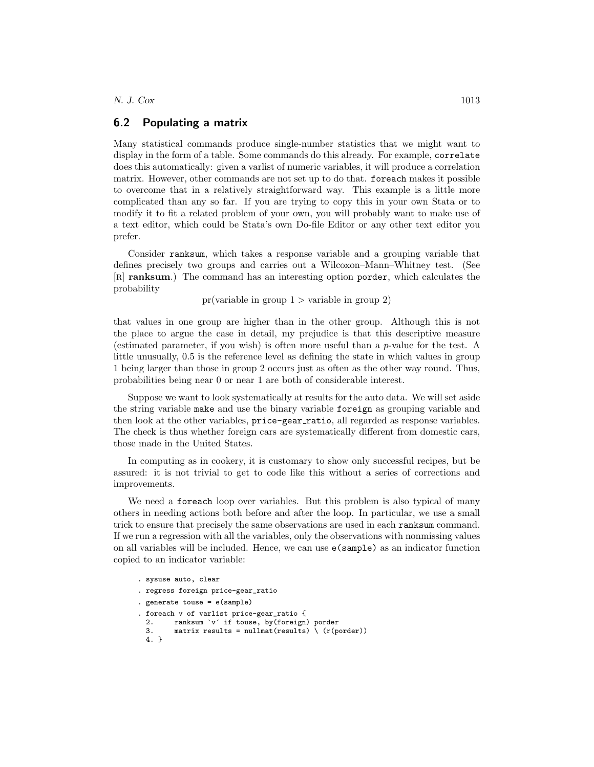### 6.2 Populating a matrix

Many statistical commands produce single-number statistics that we might want to display in the form of a table. Some commands do this already. For example, correlate does this automatically: given a varlist of numeric variables, it will produce a correlation matrix. However, other commands are not set up to do that. foreach makes it possible to overcome that in a relatively straightforward way. This example is a little more complicated than any so far. If you are trying to copy this in your own Stata or to modify it to fit a related problem of your own, you will probably want to make use of a text editor, which could be Stata's own Do-file Editor or any other text editor you prefer.

Consider ranksum, which takes a response variable and a grouping variable that defines precisely two groups and carries out a Wilcoxon–Mann–Whitney test. (See [R] ranksum.) The command has an interesting option porder, which calculates the probability

pr(variable in group  $1 >$  variable in group 2)

that values in one group are higher than in the other group. Although this is not the place to argue the case in detail, my prejudice is that this descriptive measure (estimated parameter, if you wish) is often more useful than a p-value for the test. A little unusually, 0.5 is the reference level as defining the state in which values in group 1 being larger than those in group 2 occurs just as often as the other way round. Thus, probabilities being near 0 or near 1 are both of considerable interest.

Suppose we want to look systematically at results for the auto data. We will set aside the string variable make and use the binary variable foreign as grouping variable and then look at the other variables, price-gear ratio, all regarded as response variables. The check is thus whether foreign cars are systematically different from domestic cars, those made in the United States.

In computing as in cookery, it is customary to show only successful recipes, but be assured: it is not trivial to get to code like this without a series of corrections and improvements.

We need a foreach loop over variables. But this problem is also typical of many others in needing actions both before and after the loop. In particular, we use a small trick to ensure that precisely the same observations are used in each ranksum command. If we run a regression with all the variables, only the observations with nonmissing values on all variables will be included. Hence, we can use e(sample) as an indicator function copied to an indicator variable:

```
. sysuse auto, clear
. regress foreign price-gear_ratio
. generate touse = e(sample)
. foreach v of varlist price-gear_ratio {<br>2. ranksum `v´ if touse, by (foreign)
  2. ranksum `v´ if touse, by(foreign) porder<br>3. matrix results = nullmat(results) \ (r(\sigmamatrix results = nullmat(results) \sqrt{(r(porder))}4. }
```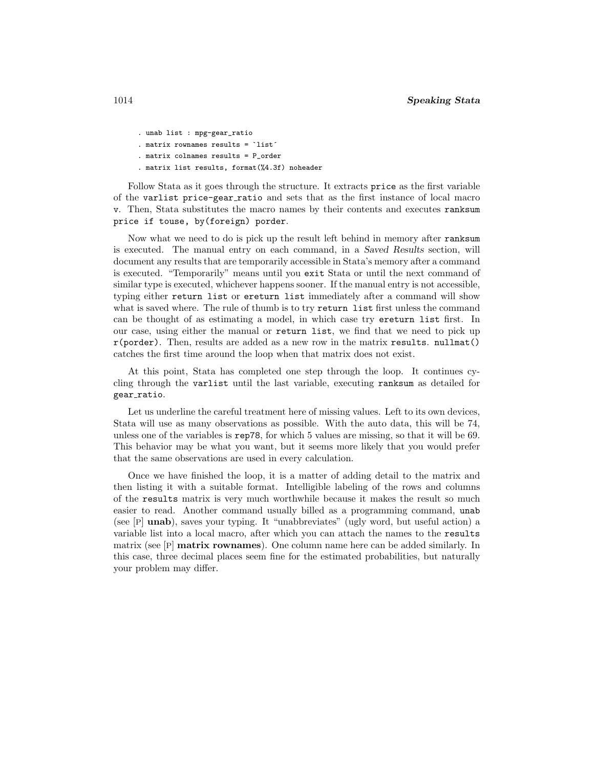- . unab list : mpg-gear\_ratio . matrix rownames results = `list´ . matrix colnames results = P\_order
- . matrix list results, format(%4.3f) noheader

Follow Stata as it goes through the structure. It extracts price as the first variable of the varlist price-gear ratio and sets that as the first instance of local macro v. Then, Stata substitutes the macro names by their contents and executes ranksum price if touse, by(foreign) porder.

Now what we need to do is pick up the result left behind in memory after ranksum is executed. The manual entry on each command, in a Saved Results section, will document any results that are temporarily accessible in Stata's memory after a command is executed. "Temporarily" means until you exit Stata or until the next command of similar type is executed, whichever happens sooner. If the manual entry is not accessible, typing either return list or ereturn list immediately after a command will show what is saved where. The rule of thumb is to try return list first unless the command can be thought of as estimating a model, in which case try ereturn list first. In our case, using either the manual or return list, we find that we need to pick up r(porder). Then, results are added as a new row in the matrix results. nullmat() catches the first time around the loop when that matrix does not exist.

At this point, Stata has completed one step through the loop. It continues cycling through the varlist until the last variable, executing ranksum as detailed for gear\_ratio.

Let us underline the careful treatment here of missing values. Left to its own devices, Stata will use as many observations as possible. With the auto data, this will be 74, unless one of the variables is rep78, for which 5 values are missing, so that it will be 69. This behavior may be what you want, but it seems more likely that you would prefer that the same observations are used in every calculation.

Once we have finished the loop, it is a matter of adding detail to the matrix and then listing it with a suitable format. Intelligible labeling of the rows and columns of the results matrix is very much worthwhile because it makes the result so much easier to read. Another command usually billed as a programming command, unab (see [P] unab), saves your typing. It "unabbreviates" (ugly word, but useful action) a variable list into a local macro, after which you can attach the names to the results matrix (see [P] matrix rownames). One column name here can be added similarly. In this case, three decimal places seem fine for the estimated probabilities, but naturally your problem may differ.